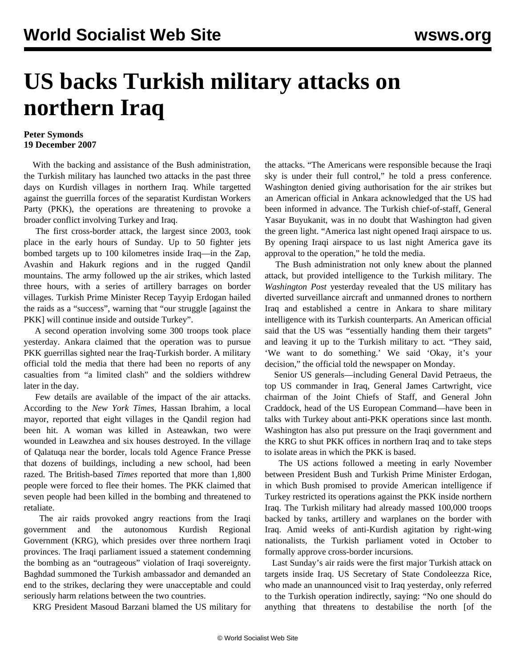## **US backs Turkish military attacks on northern Iraq**

## **Peter Symonds 19 December 2007**

 With the backing and assistance of the Bush administration, the Turkish military has launched two attacks in the past three days on Kurdish villages in northern Iraq. While targetted against the guerrilla forces of the separatist Kurdistan Workers Party (PKK), the operations are threatening to provoke a broader conflict involving Turkey and Iraq.

 The first cross-border attack, the largest since 2003, took place in the early hours of Sunday. Up to 50 fighter jets bombed targets up to 100 kilometres inside Iraq—in the Zap, Avashin and Hakurk regions and in the rugged Qandil mountains. The army followed up the air strikes, which lasted three hours, with a series of artillery barrages on border villages. Turkish Prime Minister Recep Tayyip Erdogan hailed the raids as a "success", warning that "our struggle [against the PKK] will continue inside and outside Turkey".

 A second operation involving some 300 troops took place yesterday. Ankara claimed that the operation was to pursue PKK guerrillas sighted near the Iraq-Turkish border. A military official told the media that there had been no reports of any casualties from "a limited clash" and the soldiers withdrew later in the day.

 Few details are available of the impact of the air attacks. According to the *New York Times*, Hassan Ibrahim, a local mayor, reported that eight villages in the Qandil region had been hit. A woman was killed in Asteawkan, two were wounded in Leawzhea and six houses destroyed. In the village of Qalatuqa near the border, locals told Agence France Presse that dozens of buildings, including a new school, had been razed. The British-based *Times* reported that more than 1,800 people were forced to flee their homes. The PKK claimed that seven people had been killed in the bombing and threatened to retaliate.

 The air raids provoked angry reactions from the Iraqi government and the autonomous Kurdish Regional Government (KRG), which presides over three northern Iraqi provinces. The Iraqi parliament issued a statement condemning the bombing as an "outrageous" violation of Iraqi sovereignty. Baghdad summoned the Turkish ambassador and demanded an end to the strikes, declaring they were unacceptable and could seriously harm relations between the two countries.

KRG President Masoud Barzani blamed the US military for

the attacks. "The Americans were responsible because the Iraqi sky is under their full control," he told a press conference. Washington denied giving authorisation for the air strikes but an American official in Ankara acknowledged that the US had been informed in advance. The Turkish chief-of-staff, General Yasar Buyukanit, was in no doubt that Washington had given the green light. "America last night opened Iraqi airspace to us. By opening Iraqi airspace to us last night America gave its approval to the operation," he told the media.

 The Bush administration not only knew about the planned attack, but provided intelligence to the Turkish military. The *Washington Post* yesterday revealed that the US military has diverted surveillance aircraft and unmanned drones to northern Iraq and established a centre in Ankara to share military intelligence with its Turkish counterparts. An American official said that the US was "essentially handing them their targets" and leaving it up to the Turkish military to act. "They said, 'We want to do something.' We said 'Okay, it's your decision," the official told the newspaper on Monday.

 Senior US generals—including General David Petraeus, the top US commander in Iraq, General James Cartwright, vice chairman of the Joint Chiefs of Staff, and General John Craddock, head of the US European Command—have been in talks with Turkey about anti-PKK operations since last month. Washington has also put pressure on the Iraqi government and the KRG to shut PKK offices in northern Iraq and to take steps to isolate areas in which the PKK is based.

 The US actions followed a meeting in early November between President Bush and Turkish Prime Minister Erdogan, in which Bush promised to provide American intelligence if Turkey restricted its operations against the PKK inside northern Iraq. The Turkish military had already massed 100,000 troops backed by tanks, artillery and warplanes on the border with Iraq. Amid weeks of anti-Kurdish agitation by right-wing nationalists, the Turkish parliament voted in October to formally approve cross-border incursions.

 Last Sunday's air raids were the first major Turkish attack on targets inside Iraq. US Secretary of State Condoleezza Rice, who made an unannounced visit to Iraq yesterday, only referred to the Turkish operation indirectly, saying: "No one should do anything that threatens to destabilise the north [of the